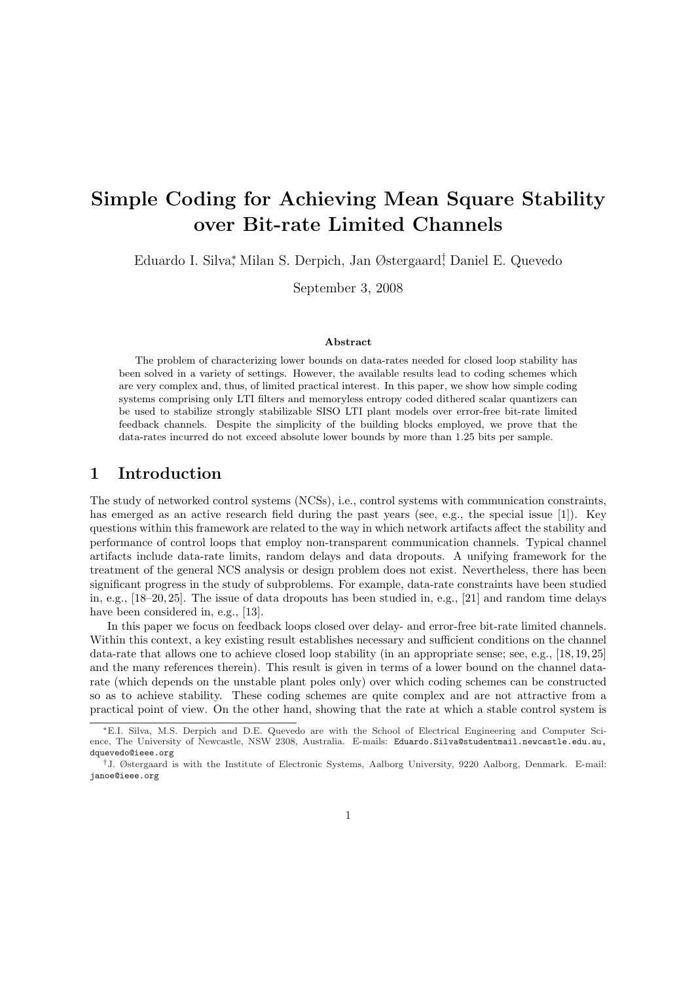# Simple Coding for Achieving Mean Square Stability over Bit-rate Limited Channels

Eduardo I. Silva<sup>\*</sup>, Milan S. Derpich, Jan Østergaard<sup>†</sup> Daniel E. Quevedo

September 3, 2008

#### Abstract

The problem of characterizing lower bounds on data-rates needed for closed loop stability has been solved in a variety of settings. However, the available results lead to coding schemes which are very complex and, thus, of limited practical interest. In this paper, we show how simple coding systems comprising only LTI filters and memoryless entropy coded dithered scalar quantizers can be used to stabilize strongly stabilizable SISO LTI plant models over error-free bit-rate limited feedback channels. Despite the simplicity of the building blocks employed, we prove that the data-rates incurred do not exceed absolute lower bounds by more than 1.25 bits per sample.

### 1 Introduction

The study of networked control systems (NCSs), i.e., control systems with communication constraints, has emerged as an active research field during the past years (see, e.g., the special issue [1]). Key questions within this framework are related to the way in which network artifacts affect the stability and performance of control loops that employ non-transparent communication channels. Typical channel artifacts include data-rate limits, random delays and data dropouts. A unifying framework for the treatment of the general NCS analysis or design problem does not exist. Nevertheless, there has been significant progress in the study of subproblems. For example, data-rate constraints have been studied in, e.g., [18–20, 25]. The issue of data dropouts has been studied in, e.g., [21] and random time delays have been considered in, e.g., [13].

In this paper we focus on feedback loops closed over delay- and error-free bit-rate limited channels. Within this context, a key existing result establishes necessary and sufficient conditions on the channel data-rate that allows one to achieve closed loop stability (in an appropriate sense; see, e.g., [18, 19, 25] and the many references therein). This result is given in terms of a lower bound on the channel datarate (which depends on the unstable plant poles only) over which coding schemes can be constructed so as to achieve stability. These coding schemes are quite complex and are not attractive from a practical point of view. On the other hand, showing that the rate at which a stable control system is

<sup>∗</sup>E.I. Silva, M.S. Derpich and D.E. Quevedo are with the School of Electrical Engineering and Computer Science, The University of Newcastle, NSW 2308, Australia. E-mails: Eduardo.Silva@studentmail.newcastle.edu.au, dquevedo@ieee.org

<sup>†</sup>J. Østergaard is with the Institute of Electronic Systems, Aalborg University, 9220 Aalborg, Denmark. E-mail: janoe@ieee.org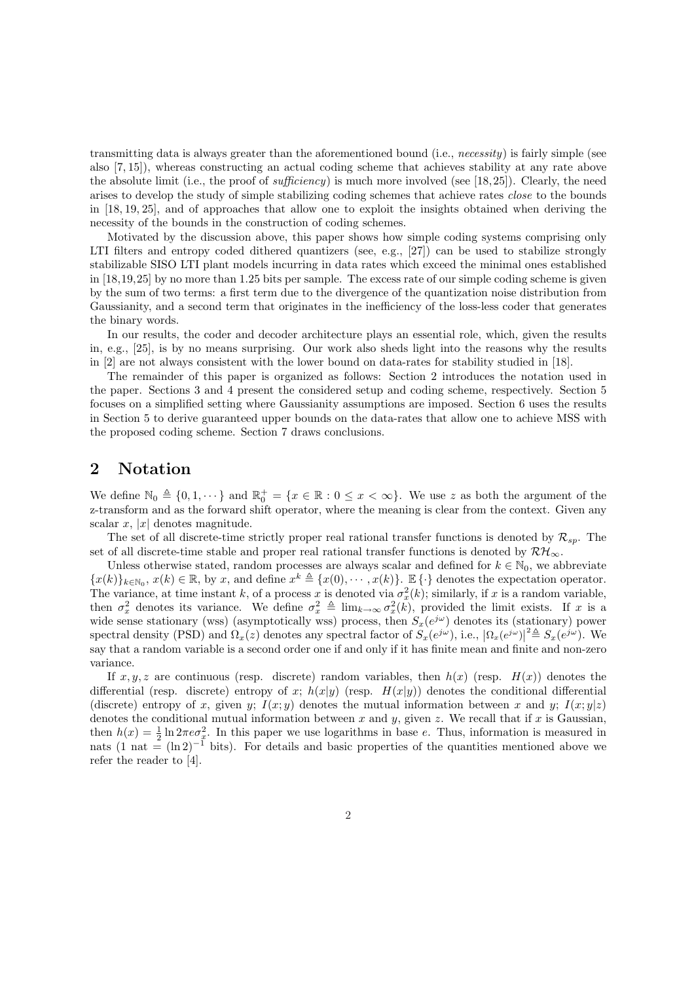transmitting data is always greater than the aforementioned bound (i.e., necessity) is fairly simple (see also [7, 15]), whereas constructing an actual coding scheme that achieves stability at any rate above the absolute limit (i.e., the proof of sufficiency) is much more involved (see [18,25]). Clearly, the need arises to develop the study of simple stabilizing coding schemes that achieve rates close to the bounds in [18, 19, 25], and of approaches that allow one to exploit the insights obtained when deriving the necessity of the bounds in the construction of coding schemes.

Motivated by the discussion above, this paper shows how simple coding systems comprising only LTI filters and entropy coded dithered quantizers (see, e.g., [27]) can be used to stabilize strongly stabilizable SISO LTI plant models incurring in data rates which exceed the minimal ones established in [18,19,25] by no more than 1.25 bits per sample. The excess rate of our simple coding scheme is given by the sum of two terms: a first term due to the divergence of the quantization noise distribution from Gaussianity, and a second term that originates in the inefficiency of the loss-less coder that generates the binary words.

In our results, the coder and decoder architecture plays an essential role, which, given the results in, e.g., [25], is by no means surprising. Our work also sheds light into the reasons why the results in [2] are not always consistent with the lower bound on data-rates for stability studied in [18].

The remainder of this paper is organized as follows: Section 2 introduces the notation used in the paper. Sections 3 and 4 present the considered setup and coding scheme, respectively. Section 5 focuses on a simplified setting where Gaussianity assumptions are imposed. Section 6 uses the results in Section 5 to derive guaranteed upper bounds on the data-rates that allow one to achieve MSS with the proposed coding scheme. Section 7 draws conclusions.

### 2 Notation

We define  $\mathbb{N}_0 \triangleq \{0, 1, \dots\}$  and  $\mathbb{R}_0^+ = \{x \in \mathbb{R} : 0 \leq x < \infty\}$ . We use z as both the argument of the z-transform and as the forward shift operator, where the meaning is clear from the context. Given any scalar x, |x| denotes magnitude.

The set of all discrete-time strictly proper real rational transfer functions is denoted by  $\mathcal{R}_{sp}$ . The set of all discrete-time stable and proper real rational transfer functions is denoted by  $\mathcal{RH}_{\infty}$ .

Unless otherwise stated, random processes are always scalar and defined for  $k \in \mathbb{N}_0$ , we abbreviate  ${x(k)}_{k\in\mathbb{N}_0}$ ,  $x(k) \in \mathbb{R}$ , by x, and define  $x^k \triangleq {x(0), \cdots, x(k)}$ .  $\mathbb{E} \{\cdot\}$  denotes the expectation operator. The variance, at time instant k, of a process x is denoted via  $\sigma_x^2(k)$ ; similarly, if x is a random variable, then  $\sigma_x^2$  denotes its variance. We define  $\sigma_x^2 \triangleq \lim_{k\to\infty} \sigma_x^2(k)$ , provided the limit exists. If x is a wide sense stationary (wss) (asymptotically wss) process, then  $S_x(e^{j\omega})$  denotes its (stationary) power spectral density (PSD) and  $\Omega_x(z)$  denotes any spectral factor of  $S_x(e^{j\omega})$ , i.e.,  $|\Omega_x(e^{j\omega})|^2 \triangleq S_x(e^{j\omega})$ . We say that a random variable is a second order one if and only if it has finite mean and finite and non-zero variance.

If x, y, z are continuous (resp. discrete) random variables, then  $h(x)$  (resp.  $H(x)$ ) denotes the differential (resp. discrete) entropy of x;  $h(x|y)$  (resp.  $H(x|y)$ ) denotes the conditional differential (discrete) entropy of x, given y;  $I(x; y)$  denotes the mutual information between x and y;  $I(x; y|z)$ denotes the conditional mutual information between x and y, given z. We recall that if x is Gaussian, then  $h(x) = \frac{1}{2} \ln 2\pi e \sigma_x^2$ . In this paper we use logarithms in base e. Thus, information is measured in nats (1 nat =  $(\ln 2)^{-1}$  bits). For details and basic properties of the quantities mentioned above we refer the reader to [4].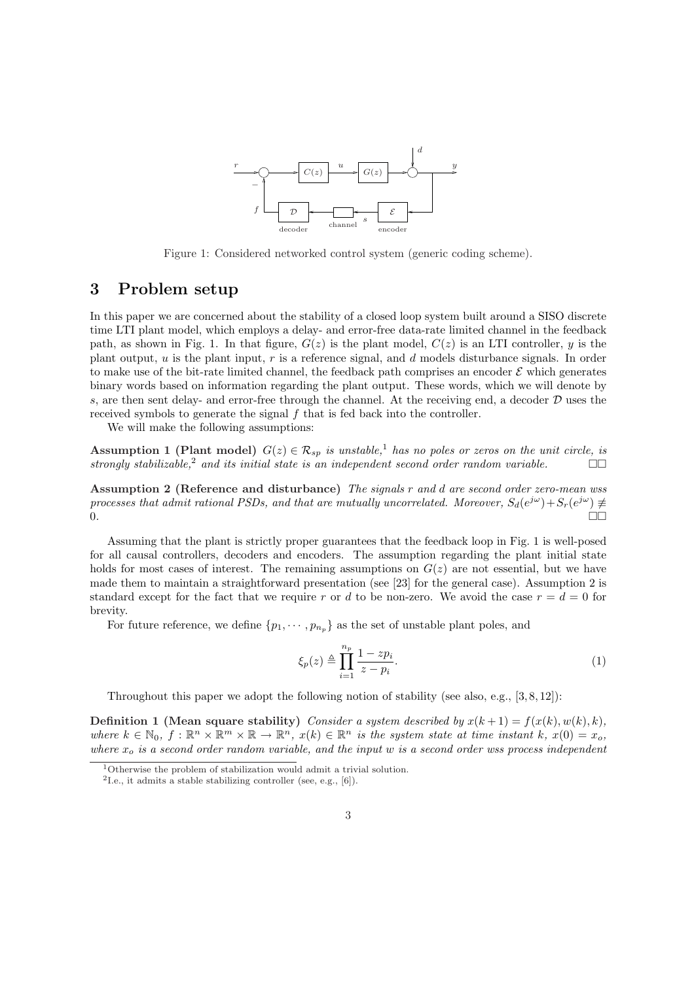

Figure 1: Considered networked control system (generic coding scheme).

## 3 Problem setup

In this paper we are concerned about the stability of a closed loop system built around a SISO discrete time LTI plant model, which employs a delay- and error-free data-rate limited channel in the feedback path, as shown in Fig. 1. In that figure,  $G(z)$  is the plant model,  $C(z)$  is an LTI controller, y is the plant output,  $u$  is the plant input,  $r$  is a reference signal, and  $d$  models disturbance signals. In order to make use of the bit-rate limited channel, the feedback path comprises an encoder  $\mathcal E$  which generates binary words based on information regarding the plant output. These words, which we will denote by s, are then sent delay- and error-free through the channel. At the receiving end, a decoder  $D$  uses the received symbols to generate the signal  $f$  that is fed back into the controller.

We will make the following assumptions:

Assumption 1 (Plant model)  $G(z) \in \mathcal{R}_{sp}$  is unstable,<sup>1</sup> has no poles or zeros on the unit circle, is strongly stabilizable,<sup>2</sup> and its initial state is an independent second order random variable.  $\Box$ 

Assumption 2 (Reference and disturbance) The signals r and d are second order zero-mean wss processes that admit rational PSDs, and that are mutually uncorrelated. Moreover,  $S_d(e^{j\omega}) + S_r(e^{j\omega}) \neq$  $0.$ 

Assuming that the plant is strictly proper guarantees that the feedback loop in Fig. 1 is well-posed for all causal controllers, decoders and encoders. The assumption regarding the plant initial state holds for most cases of interest. The remaining assumptions on  $G(z)$  are not essential, but we have made them to maintain a straightforward presentation (see [23] for the general case). Assumption 2 is standard except for the fact that we require r or d to be non-zero. We avoid the case  $r = d = 0$  for brevity.

For future reference, we define  $\{p_1, \cdots, p_{n_p}\}\$ as the set of unstable plant poles, and

$$
\xi_p(z) \triangleq \prod_{i=1}^{n_p} \frac{1 - z p_i}{z - p_i}.\tag{1}
$$

Throughout this paper we adopt the following notion of stability (see also, e.g.,  $[3, 8, 12]$ ):

**Definition 1** (Mean square stability) Consider a system described by  $x(k+1) = f(x(k), w(k), k)$ , where  $k \in \mathbb{N}_0$ ,  $f : \mathbb{R}^n \times \mathbb{R}^m \times \mathbb{R} \to \mathbb{R}^n$ ,  $x(k) \in \mathbb{R}^n$  is the system state at time instant k,  $x(0) = x_o$ , where  $x<sub>o</sub>$  is a second order random variable, and the input w is a second order wss process independent

<sup>1</sup>Otherwise the problem of stabilization would admit a trivial solution.

<sup>&</sup>lt;sup>2</sup>I.e., it admits a stable stabilizing controller (see, e.g.,  $[6]$ ).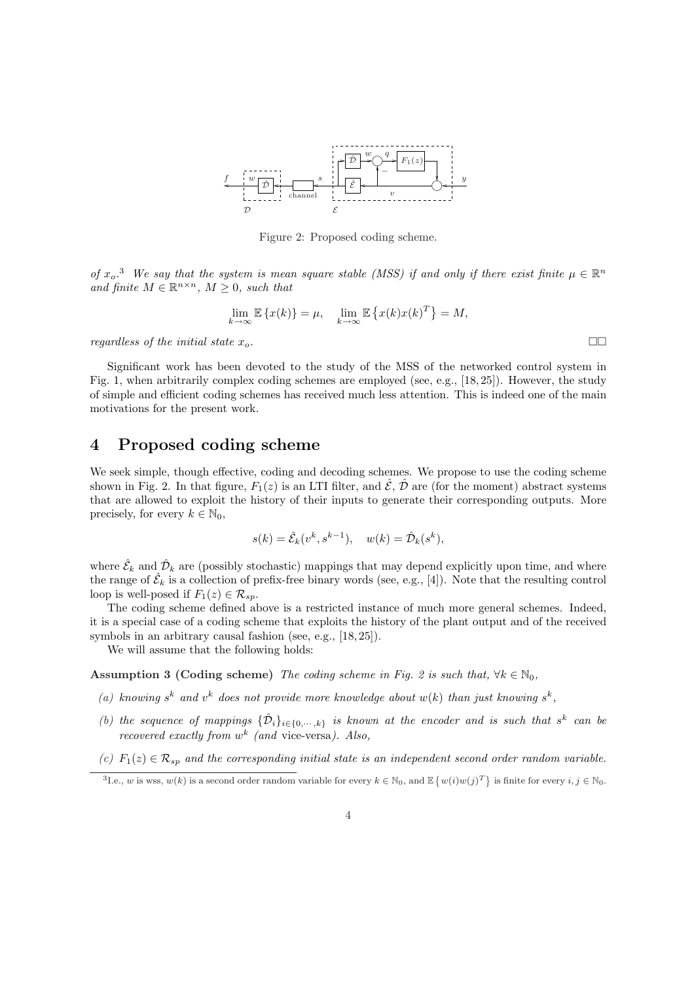

Figure 2: Proposed coding scheme.

of  $x_o$ .<sup>3</sup> We say that the system is mean square stable (MSS) if and only if there exist finite  $\mu \in \mathbb{R}^n$ and finite  $M \in \mathbb{R}^{n \times n}$ ,  $M \geq 0$ , such that

$$
\lim_{k \to \infty} \mathbb{E}\left\{x(k)\right\} = \mu, \quad \lim_{k \to \infty} \mathbb{E}\left\{x(k)x(k)^T\right\} = M,
$$

regardless of the initial state  $x_o$ .

Significant work has been devoted to the study of the MSS of the networked control system in Fig. 1, when arbitrarily complex coding schemes are employed (see, e.g., [18, 25]). However, the study of simple and efficient coding schemes has received much less attention. This is indeed one of the main motivations for the present work.

### 4 Proposed coding scheme

We seek simple, though effective, coding and decoding schemes. We propose to use the coding scheme shown in Fig. 2. In that figure,  $F_1(z)$  is an LTI filter, and  $\mathcal{E}, \mathcal{D}$  are (for the moment) abstract systems that are allowed to exploit the history of their inputs to generate their corresponding outputs. More precisely, for every  $k \in \mathbb{N}_0$ ,

$$
s(k) = \hat{\mathcal{E}}_k(v^k, s^{k-1}), \quad w(k) = \hat{\mathcal{D}}_k(s^k),
$$

where  $\hat{\mathcal{E}}_k$  and  $\hat{\mathcal{D}}_k$  are (possibly stochastic) mappings that may depend explicitly upon time, and where the range of  $\hat{\mathcal{E}}_k$  is a collection of prefix-free binary words (see, e.g., [4]). Note that the resulting control loop is well-posed if  $F_1(z) \in \mathcal{R}_{sn}$ .

The coding scheme defined above is a restricted instance of much more general schemes. Indeed, it is a special case of a coding scheme that exploits the history of the plant output and of the received symbols in an arbitrary causal fashion (see, e.g., [18, 25]).

We will assume that the following holds:

Assumption 3 (Coding scheme) The coding scheme in Fig. 2 is such that,  $\forall k \in \mathbb{N}_0$ ,

- (a) knowing  $s^k$  and  $v^k$  does not provide more knowledge about  $w(k)$  than just knowing  $s^k$ ,
- (b) the sequence of mappings  $\{\hat{\mathcal{D}}_i\}_{i\in\{0,\cdots,k\}}$  is known at the encoder and is such that  $s^k$  can be recovered exactly from  $w^k$  (and vice-versa). Also,
- (c)  $F_1(z) \in \mathcal{R}_{sp}$  and the corresponding initial state is an independent second order random variable.

 $\overline{B}$ .e., w is wss,  $w(k)$  is a second order random variable for every  $k \in \mathbb{N}_0$ , and  $\mathbb{E} \{ w(i)w(j)^T \}$  is finite for every  $i, j \in \mathbb{N}_0$ .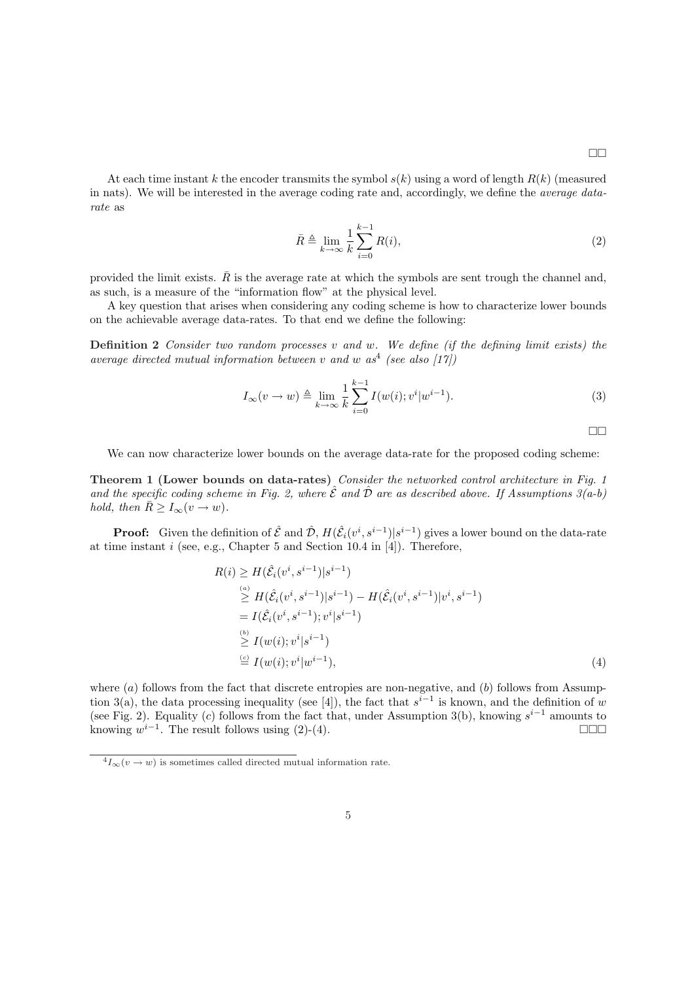At each time instant k the encoder transmits the symbol  $s(k)$  using a word of length  $R(k)$  (measured in nats). We will be interested in the average coding rate and, accordingly, we define the average datarate as

$$
\bar{R} \triangleq \lim_{k \to \infty} \frac{1}{k} \sum_{i=0}^{k-1} R(i),\tag{2}
$$

provided the limit exists.  $\overline{R}$  is the average rate at which the symbols are sent trough the channel and, as such, is a measure of the "information flow" at the physical level.

A key question that arises when considering any coding scheme is how to characterize lower bounds on the achievable average data-rates. To that end we define the following:

**Definition 2** Consider two random processes v and w. We define (if the defining limit exists) the average directed mutual information between v and w as<sup>4</sup> (see also [17])

$$
I_{\infty}(v \to w) \triangleq \lim_{k \to \infty} \frac{1}{k} \sum_{i=0}^{k-1} I(w(i); v^{i} | w^{i-1}).
$$
\n(3)

 $\Box$ Box

We can now characterize lower bounds on the average data-rate for the proposed coding scheme:

Theorem 1 (Lower bounds on data-rates) Consider the networked control architecture in Fig. 1 and the specific coding scheme in Fig. 2, where  $\hat{\mathcal{E}}$  and  $\hat{\mathcal{D}}$  are as described above. If Assumptions  $3(a-b)$ hold, then  $\bar{R} \geq I_{\infty}(v \to w)$ .

**Proof:** Given the definition of  $\hat{\mathcal{E}}$  and  $\hat{\mathcal{D}}$ ,  $H(\hat{\mathcal{E}}_i(v^i, s^{i-1}) | s^{i-1})$  gives a lower bound on the data-rate at time instant  $i$  (see, e.g., Chapter 5 and Section 10.4 in [4]). Therefore,

$$
R(i) \ge H(\hat{\mathcal{E}}_i(v^i, s^{i-1})|s^{i-1})
$$
  
\n
$$
\stackrel{(a)}{\ge} H(\hat{\mathcal{E}}_i(v^i, s^{i-1})|s^{i-1}) - H(\hat{\mathcal{E}}_i(v^i, s^{i-1})|v^i, s^{i-1})
$$
  
\n
$$
= I(\hat{\mathcal{E}}_i(v^i, s^{i-1}); v^i|s^{i-1})
$$
  
\n
$$
\stackrel{(b)}{\ge} I(w(i); v^i|s^{i-1})
$$
  
\n
$$
\stackrel{(c)}{=} I(w(i); v^i|w^{i-1}),
$$
  
\n(4)

where  $(a)$  follows from the fact that discrete entropies are non-negative, and  $(b)$  follows from Assumption 3(a), the data processing inequality (see [4]), the fact that  $s^{i-1}$  is known, and the definition of w (see Fig. 2). Equality (c) follows from the fact that, under Assumption 3(b), knowing  $s^{i-1}$  amounts to knowing  $w^{i-1}$ . The result follows using (2)-(4).  $\Box$ 

 ${}^4I_\infty(v \to w)$  is sometimes called directed mutual information rate.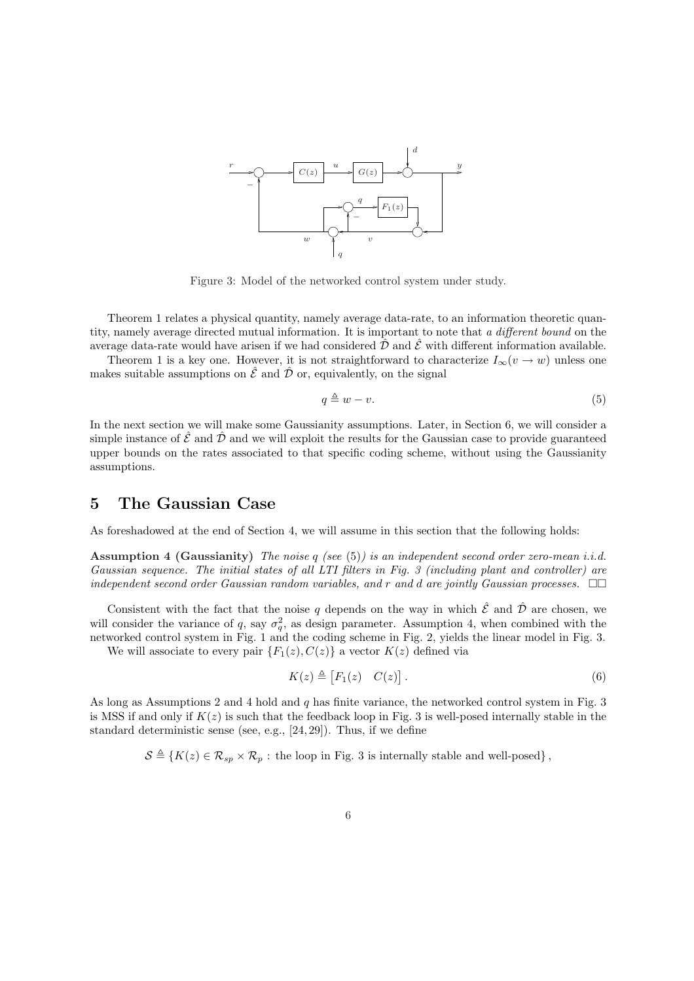

Figure 3: Model of the networked control system under study.

Theorem 1 relates a physical quantity, namely average data-rate, to an information theoretic quantity, namely average directed mutual information. It is important to note that a different bound on the average data-rate would have arisen if we had considered  $\hat{\mathcal{D}}$  and  $\hat{\mathcal{E}}$  with different information available.

Theorem 1 is a key one. However, it is not straightforward to characterize  $I_{\infty}(v \to w)$  unless one makes suitable assumptions on  $\hat{\mathcal{E}}$  and  $\hat{\mathcal{D}}$  or, equivalently, on the signal

$$
q \triangleq w - v. \tag{5}
$$

In the next section we will make some Gaussianity assumptions. Later, in Section 6, we will consider a simple instance of  $\hat{\mathcal{E}}$  and  $\hat{\mathcal{D}}$  and we will exploit the results for the Gaussian case to provide guaranteed upper bounds on the rates associated to that specific coding scheme, without using the Gaussianity assumptions.

### 5 The Gaussian Case

As foreshadowed at the end of Section 4, we will assume in this section that the following holds:

Assumption 4 (Gaussianity) The noise  $q$  (see (5)) is an independent second order zero-mean i.i.d. Gaussian sequence. The initial states of all LTI filters in Fig. 3 (including plant and controller) are independent second order Gaussian random variables, and r and d are jointly Gaussian processes.  $\square \square$ 

Consistent with the fact that the noise q depends on the way in which  $\hat{\mathcal{E}}$  and  $\hat{\mathcal{D}}$  are chosen, we will consider the variance of q, say  $\sigma_q^2$ , as design parameter. Assumption 4, when combined with the networked control system in Fig. 1 and the coding scheme in Fig. 2, yields the linear model in Fig. 3.

We will associate to every pair  $\{F_1(z), C(z)\}\$ a vector  $K(z)$  defined via

$$
K(z) \triangleq [F_1(z) \quad C(z)]. \tag{6}
$$

As long as Assumptions 2 and 4 hold and  $q$  has finite variance, the networked control system in Fig. 3 is MSS if and only if  $K(z)$  is such that the feedback loop in Fig. 3 is well-posed internally stable in the standard deterministic sense (see, e.g., [24, 29]). Thus, if we define

 $\mathcal{S} \triangleq \{K(z) \in \mathcal{R}_{sp} \times \mathcal{R}_p: \, \text{the loop in Fig. 3 is internally stable and well-posed}\}\,,$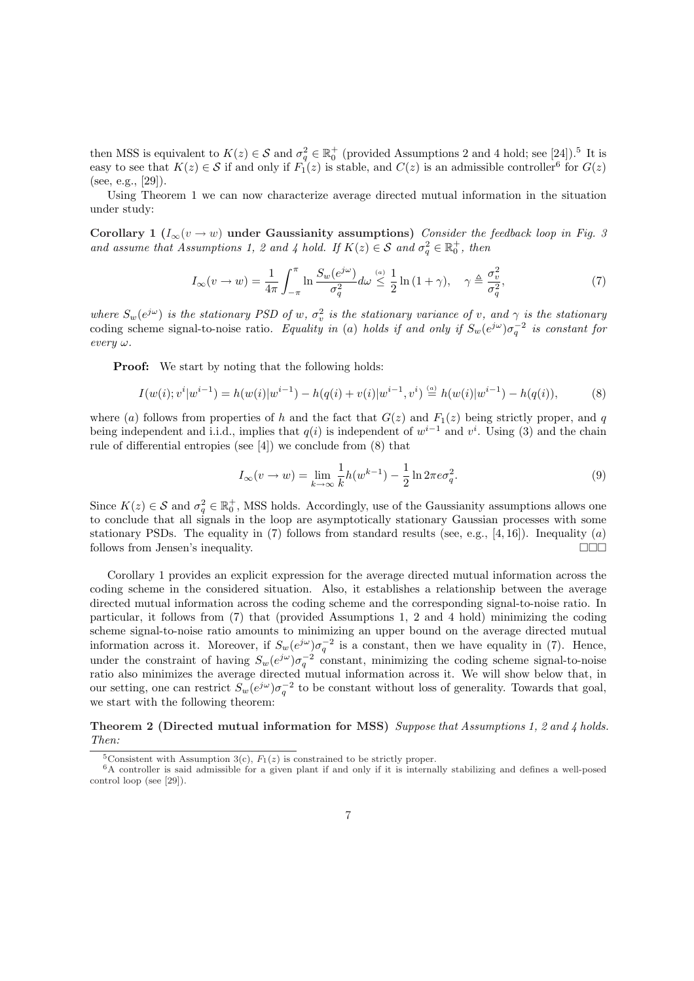then MSS is equivalent to  $K(z) \in S$  and  $\sigma_q^2 \in \mathbb{R}_0^+$  (provided Assumptions 2 and 4 hold; see [24]).<sup>5</sup> It is easy to see that  $K(z) \in S$  if and only if  $F_1(z)$  is stable, and  $C(z)$  is an admissible controller<sup>6</sup> for  $G(z)$ (see, e.g., [29]).

Using Theorem 1 we can now characterize average directed mutual information in the situation under study:

Corollary 1  $(I_{\infty}(v \to w))$  under Gaussianity assumptions) Consider the feedback loop in Fig. 3 and assume that Assumptions 1, 2 and 4 hold. If  $K(z) \in S$  and  $\sigma_q^2 \in \mathbb{R}_0^+$ , then

$$
I_{\infty}(v \to w) = \frac{1}{4\pi} \int_{-\pi}^{\pi} \ln \frac{S_w(e^{j\omega})}{\sigma_q^2} d\omega \stackrel{(a)}{\leq} \frac{1}{2} \ln(1+\gamma), \quad \gamma \triangleq \frac{\sigma_v^2}{\sigma_q^2},\tag{7}
$$

where  $S_w(e^{j\omega})$  is the stationary PSD of w,  $\sigma_v^2$  is the stationary variance of v, and  $\gamma$  is the stationary coding scheme signal-to-noise ratio. Equality in (a) holds if and only if  $S_w(e^{j\omega})\sigma_q^{-2}$  is constant for  $even \omega$ .

**Proof:** We start by noting that the following holds:

$$
I(w(i);v^{i}|w^{i-1}) = h(w(i)|w^{i-1}) - h(q(i) + v(i)|w^{i-1},v^{i}) \stackrel{(a)}{=} h(w(i)|w^{i-1}) - h(q(i)),
$$
\n(8)

where (a) follows from properties of h and the fact that  $G(z)$  and  $F_1(z)$  being strictly proper, and q being independent and i.i.d., implies that  $q(i)$  is independent of  $w^{i-1}$  and  $v^i$ . Using (3) and the chain rule of differential entropies (see [4]) we conclude from (8) that

$$
I_{\infty}(v \to w) = \lim_{k \to \infty} \frac{1}{k} h(w^{k-1}) - \frac{1}{2} \ln 2\pi e \sigma_q^2.
$$
 (9)

Since  $K(z) \in \mathcal{S}$  and  $\sigma_q^2 \in \mathbb{R}_0^+$ , MSS holds. Accordingly, use of the Gaussianity assumptions allows one to conclude that all signals in the loop are asymptotically stationary Gaussian processes with some stationary PSDs. The equality in (7) follows from standard results (see, e.g., [4, 16]). Inequality (a) follows from Jensen's inequality.  $\Box$ 

Corollary 1 provides an explicit expression for the average directed mutual information across the coding scheme in the considered situation. Also, it establishes a relationship between the average directed mutual information across the coding scheme and the corresponding signal-to-noise ratio. In particular, it follows from (7) that (provided Assumptions 1, 2 and 4 hold) minimizing the coding scheme signal-to-noise ratio amounts to minimizing an upper bound on the average directed mutual information across it. Moreover, if  $S_w(e^{j\omega})\sigma_q^{-2}$  is a constant, then we have equality in (7). Hence, under the constraint of having  $S_w(e^{j\omega})\sigma_q^{-2}$  constant, minimizing the coding scheme signal-to-noise ratio also minimizes the average directed mutual information across it. We will show below that, in our setting, one can restrict  $S_w(e^{j\omega})\sigma_q^{-2}$  to be constant without loss of generality. Towards that goal, we start with the following theorem:

### Theorem 2 (Directed mutual information for MSS) Suppose that Assumptions 1, 2 and 4 holds. Then:

<sup>&</sup>lt;sup>5</sup>Consistent with Assumption 3(c),  $F_1(z)$  is constrained to be strictly proper.

<sup>6</sup>A controller is said admissible for a given plant if and only if it is internally stabilizing and defines a well-posed control loop (see [29]).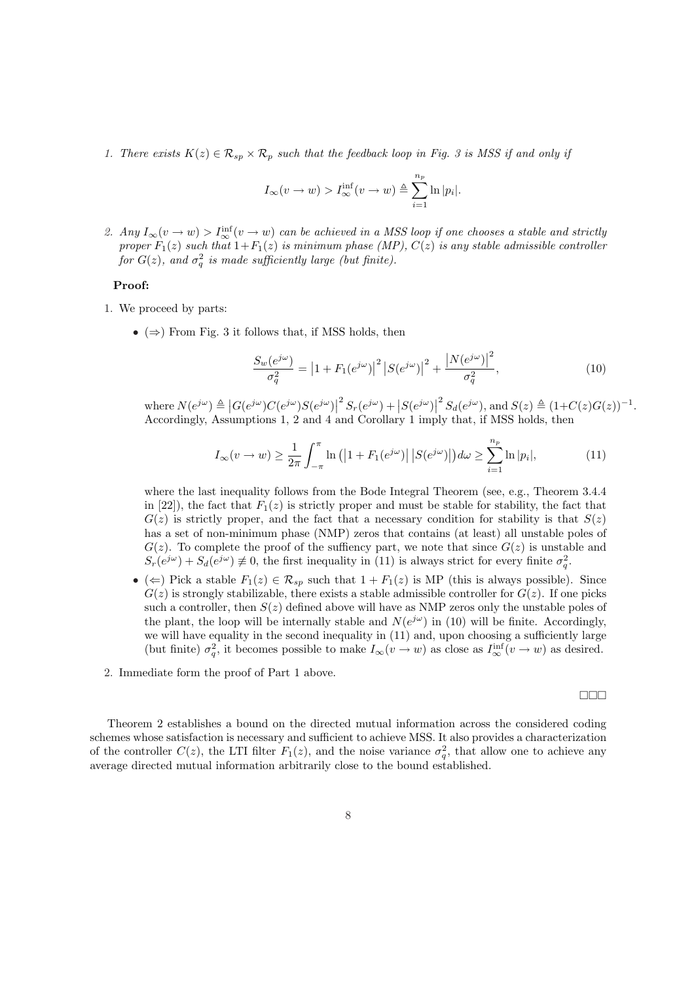1. There exists  $K(z) \in \mathcal{R}_{sp} \times \mathcal{R}_p$  such that the feedback loop in Fig. 3 is MSS if and only if

$$
I_{\infty}(v \to w) > I_{\infty}^{\inf}(v \to w) \triangleq \sum_{i=1}^{n_p} \ln |p_i|.
$$

2. Any  $I_{\infty}(v \to w) > I_{\infty}^{\text{inf}}(v \to w)$  can be achieved in a MSS loop if one chooses a stable and strictly proper  $F_1(z)$  such that  $1+F_1(z)$  is minimum phase (MP),  $C(z)$  is any stable admissible controller for  $G(z)$ , and  $\sigma_q^2$  is made sufficiently large (but finite).

#### Proof:

- 1. We proceed by parts:
	- $(\Rightarrow)$  From Fig. 3 it follows that, if MSS holds, then

$$
\frac{S_w(e^{j\omega})}{\sigma_q^2} = |1 + F_1(e^{j\omega})|^2 |S(e^{j\omega})|^2 + \frac{|N(e^{j\omega})|^2}{\sigma_q^2},\tag{10}
$$

where  $N(e^{j\omega}) \triangleq |G(e^{j\omega})C(e^{j\omega})S(e^{j\omega})|^2 S_r(e^{j\omega}) + |S(e^{j\omega})|^2 S_d(e^{j\omega})$ , and  $S(z) \triangleq (1+C(z)G(z))^{-1}$ . Accordingly, Assumptions 1, 2 and 4 and Corollary 1 imply that, if MSS holds, then

$$
I_{\infty}(v \to w) \ge \frac{1}{2\pi} \int_{-\pi}^{\pi} \ln\left(|1 + F_1(e^{j\omega})| \, |S(e^{j\omega})|\right) d\omega \ge \sum_{i=1}^{n_p} \ln|p_i|,\tag{11}
$$

where the last inequality follows from the Bode Integral Theorem (see, e.g., Theorem 3.4.4 in [22]), the fact that  $F_1(z)$  is strictly proper and must be stable for stability, the fact that  $G(z)$  is strictly proper, and the fact that a necessary condition for stability is that  $S(z)$ has a set of non-minimum phase (NMP) zeros that contains (at least) all unstable poles of  $G(z)$ . To complete the proof of the suffiency part, we note that since  $G(z)$  is unstable and  $S_r(e^{j\omega}) + S_d(e^{j\omega}) \neq 0$ , the first inequality in (11) is always strict for every finite  $\sigma_q^2$ .

- ( $\Leftarrow$ ) Pick a stable  $F_1(z) \in \mathcal{R}_{sp}$  such that  $1 + F_1(z)$  is MP (this is always possible). Since  $G(z)$  is strongly stabilizable, there exists a stable admissible controller for  $G(z)$ . If one picks such a controller, then  $S(z)$  defined above will have as NMP zeros only the unstable poles of the plant, the loop will be internally stable and  $N(e^{j\omega})$  in (10) will be finite. Accordingly, we will have equality in the second inequality in (11) and, upon choosing a sufficiently large (but finite)  $\sigma_q^2$ , it becomes possible to make  $I_\infty(v \to w)$  as close as  $I_\infty^{\text{inf}}(v \to w)$  as desired.
- 2. Immediate form the proof of Part 1 above.

 $\Box \Box \Box$ 

Theorem 2 establishes a bound on the directed mutual information across the considered coding schemes whose satisfaction is necessary and sufficient to achieve MSS. It also provides a characterization of the controller  $C(z)$ , the LTI filter  $F_1(z)$ , and the noise variance  $\sigma_q^2$ , that allow one to achieve any average directed mutual information arbitrarily close to the bound established.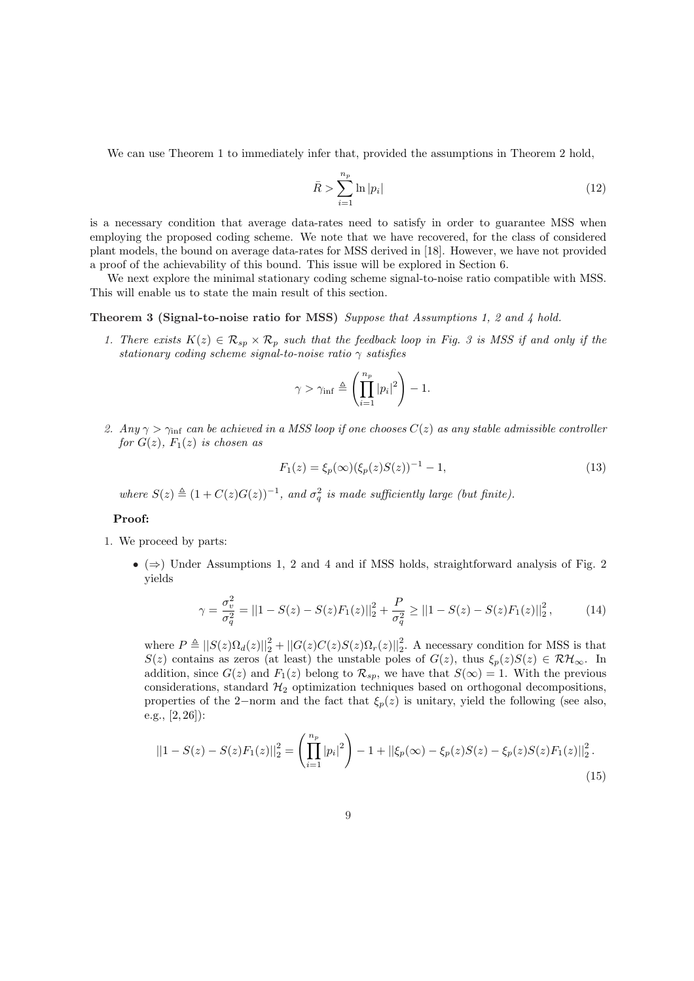We can use Theorem 1 to immediately infer that, provided the assumptions in Theorem 2 hold,

$$
\bar{R} > \sum_{i=1}^{n_p} \ln|p_i| \tag{12}
$$

is a necessary condition that average data-rates need to satisfy in order to guarantee MSS when employing the proposed coding scheme. We note that we have recovered, for the class of considered plant models, the bound on average data-rates for MSS derived in [18]. However, we have not provided a proof of the achievability of this bound. This issue will be explored in Section 6.

We next explore the minimal stationary coding scheme signal-to-noise ratio compatible with MSS. This will enable us to state the main result of this section.

#### Theorem 3 (Signal-to-noise ratio for MSS) Suppose that Assumptions 1, 2 and 4 hold.

1. There exists  $K(z) \in \mathcal{R}_{sp} \times \mathcal{R}_p$  such that the feedback loop in Fig. 3 is MSS if and only if the stationary coding scheme signal-to-noise ratio  $\gamma$  satisfies

$$
\gamma > \gamma_{\inf} \triangleq \left(\prod_{i=1}^{n_p} |p_i|^2\right) - 1.
$$

2. Any  $\gamma > \gamma_{\text{inf}}$  can be achieved in a MSS loop if one chooses  $C(z)$  as any stable admissible controller for  $G(z)$ ,  $F_1(z)$  is chosen as

$$
F_1(z) = \xi_p(\infty)(\xi_p(z)S(z))^{-1} - 1,\tag{13}
$$

where  $S(z) \triangleq (1 + C(z)G(z))^{-1}$ , and  $\sigma_q^2$  is made sufficiently large (but finite).

#### Proof:

- 1. We proceed by parts:
	- ( $\Rightarrow$ ) Under Assumptions 1, 2 and 4 and if MSS holds, straightforward analysis of Fig. 2 yields

$$
\gamma = \frac{\sigma_v^2}{\sigma_q^2} = ||1 - S(z) - S(z)F_1(z)||_2^2 + \frac{P}{\sigma_q^2} \ge ||1 - S(z) - S(z)F_1(z)||_2^2, \tag{14}
$$

where  $P \triangleq ||S(z)\Omega_d(z)||_2^2 + ||G(z)C(z)S(z)\Omega_r(z)||_2^2$ . A necessary condition for MSS is that  $S(z)$  contains as zeros (at least) the unstable poles of  $G(z)$ , thus  $\xi_p(z)S(z) \in \mathcal{RH}_{\infty}$ . In addition, since  $G(z)$  and  $F_1(z)$  belong to  $\mathcal{R}_{sp}$ , we have that  $S(\infty) = 1$ . With the previous considerations, standard  $\mathcal{H}_2$  optimization techniques based on orthogonal decompositions, properties of the 2−norm and the fact that  $\xi_p(z)$  is unitary, yield the following (see also, e.g.,  $[2, 26]$ :

$$
||1 - S(z) - S(z)F_1(z)||_2^2 = \left(\prod_{i=1}^{n_p} |p_i|^2\right) - 1 + ||\xi_p(\infty) - \xi_p(z)S(z) - \xi_p(z)S(z)F_1(z)||_2^2.
$$
\n(15)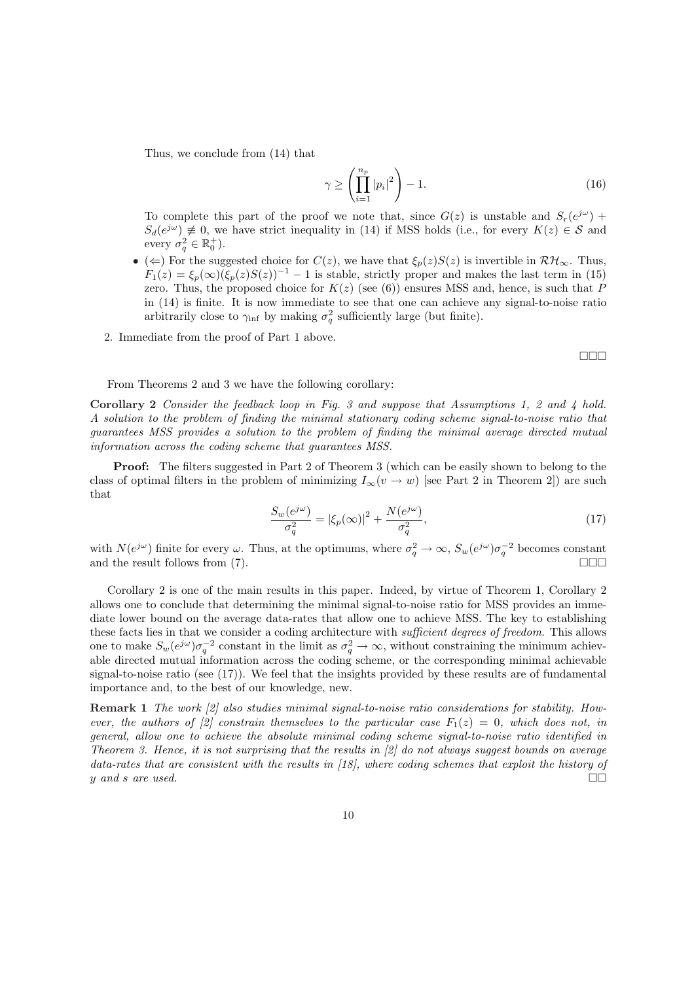Thus, we conclude from (14) that

$$
\gamma \ge \left(\prod_{i=1}^{n_p} |p_i|^2\right) - 1. \tag{16}
$$

To complete this part of the proof we note that, since  $G(z)$  is unstable and  $S_r(e^{j\omega})$  +  $S_d(e^{j\omega}) \neq 0$ , we have strict inequality in (14) if MSS holds (i.e., for every  $K(z) \in \mathcal{S}$  and every  $\sigma_q^2 \in \mathbb{R}_0^+$ ).

- ( $\Leftarrow$ ) For the suggested choice for  $C(z)$ , we have that  $\xi_p(z)S(z)$  is invertible in  $\mathcal{RH}_{\infty}$ . Thus,  $F_1(z) = \xi_p(\infty)(\xi_p(z)S(z))^{-1} - 1$  is stable, strictly proper and makes the last term in (15) zero. Thus, the proposed choice for  $K(z)$  (see (6)) ensures MSS and, hence, is such that P in (14) is finite. It is now immediate to see that one can achieve any signal-to-noise ratio arbitrarily close to  $\gamma_{\rm inf}$  by making  $\sigma_q^2$  sufficiently large (but finite).
- 2. Immediate from the proof of Part 1 above.

 $\Box\Box\Box$ 

From Theorems 2 and 3 we have the following corollary:

Corollary 2 Consider the feedback loop in Fig. 3 and suppose that Assumptions 1, 2 and 4 hold. A solution to the problem of finding the minimal stationary coding scheme signal-to-noise ratio that guarantees MSS provides a solution to the problem of finding the minimal average directed mutual information across the coding scheme that guarantees MSS.

Proof: The filters suggested in Part 2 of Theorem 3 (which can be easily shown to belong to the class of optimal filters in the problem of minimizing  $I_{\infty}(v \to w)$  [see Part 2 in Theorem 2]) are such that

$$
\frac{S_w(e^{j\omega})}{\sigma_q^2} = |\xi_p(\infty)|^2 + \frac{N(e^{j\omega})}{\sigma_q^2},\tag{17}
$$

with  $N(e^{j\omega})$  finite for every  $\omega$ . Thus, at the optimums, where  $\sigma_q^2 \to \infty$ ,  $S_w(e^{j\omega})\sigma_q^{-2}$  becomes constant and the result follows from (7).  $\Box$ 

Corollary 2 is one of the main results in this paper. Indeed, by virtue of Theorem 1, Corollary 2 allows one to conclude that determining the minimal signal-to-noise ratio for MSS provides an immediate lower bound on the average data-rates that allow one to achieve MSS. The key to establishing these facts lies in that we consider a coding architecture with *sufficient degrees of freedom*. This allows one to make  $S_w(e^{j\omega})\sigma_q^{-2}$  constant in the limit as  $\sigma_q^2 \to \infty$ , without constraining the minimum achievable directed mutual information across the coding scheme, or the corresponding minimal achievable signal-to-noise ratio (see (17)). We feel that the insights provided by these results are of fundamental importance and, to the best of our knowledge, new.

Remark 1 The work [2] also studies minimal signal-to-noise ratio considerations for stability. However, the authors of [2] constrain themselves to the particular case  $F_1(z) = 0$ , which does not, in general, allow one to achieve the absolute minimal coding scheme signal-to-noise ratio identified in Theorem 3. Hence, it is not surprising that the results in  $[2]$  do not always suggest bounds on average data-rates that are consistent with the results in [18], where coding schemes that exploit the history of y and s are used.  $\square$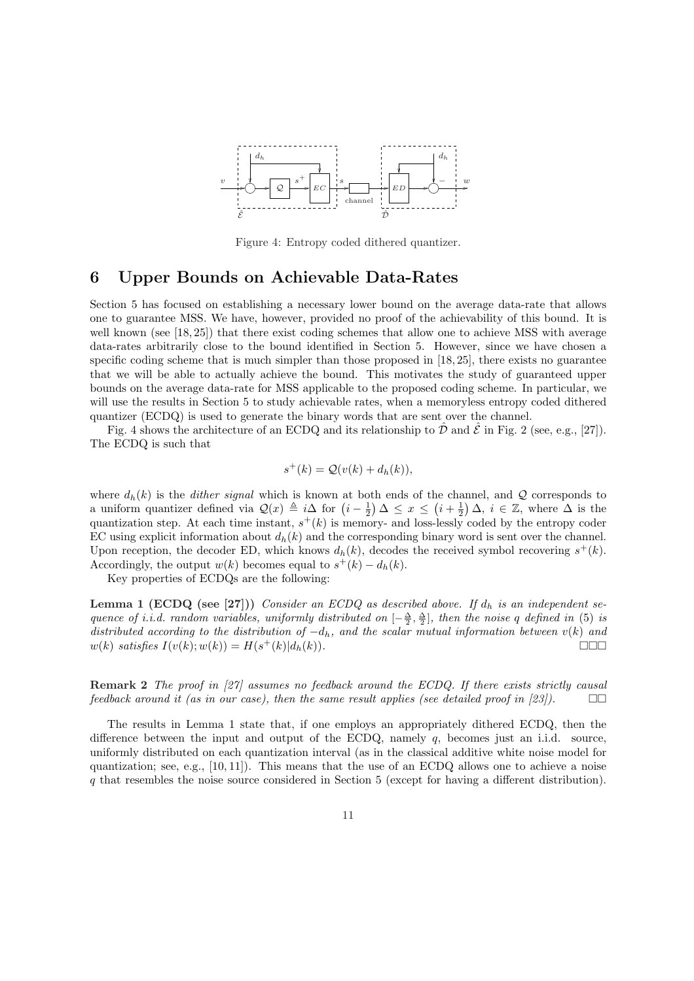

Figure 4: Entropy coded dithered quantizer.

### 6 Upper Bounds on Achievable Data-Rates

Section 5 has focused on establishing a necessary lower bound on the average data-rate that allows one to guarantee MSS. We have, however, provided no proof of the achievability of this bound. It is well known (see [18, 25]) that there exist coding schemes that allow one to achieve MSS with average data-rates arbitrarily close to the bound identified in Section 5. However, since we have chosen a specific coding scheme that is much simpler than those proposed in [18, 25], there exists no guarantee that we will be able to actually achieve the bound. This motivates the study of guaranteed upper bounds on the average data-rate for MSS applicable to the proposed coding scheme. In particular, we will use the results in Section 5 to study achievable rates, when a memoryless entropy coded dithered quantizer (ECDQ) is used to generate the binary words that are sent over the channel.

Fig. 4 shows the architecture of an ECDQ and its relationship to  $\hat{\mathcal{D}}$  and  $\hat{\mathcal{E}}$  in Fig. 2 (see, e.g., [27]). The ECDQ is such that

$$
s^+(k) = \mathcal{Q}(v(k) + d_h(k)),
$$

where  $d_h(k)$  is the *dither signal* which is known at both ends of the channel, and Q corresponds to where  $a_h(\kappa)$  is the *atther signal* which is known at both ends of the channel, and Q corresponds to a uniform quantizer defined via  $\mathcal{Q}(x) \triangleq i\Delta$  for  $(i - \frac{1}{2})\Delta \leq x \leq (i + \frac{1}{2})\Delta$ ,  $i \in \mathbb{Z}$ , where  $\Delta$  is the quantization step. At each time instant,  $s^+(k)$  is memory- and loss-lessly coded by the entropy coder EC using explicit information about  $d_h(k)$  and the corresponding binary word is sent over the channel. Upon reception, the decoder ED, which knows  $d_h(k)$ , decodes the received symbol recovering  $s^+(k)$ . Accordingly, the output  $w(k)$  becomes equal to  $s^+(k) - d_h(k)$ .

Key properties of ECDQs are the following:

**Lemma 1 (ECDQ (see [27]))** Consider an ECDQ as described above. If  $d_h$  is an independent sequence of i.i.d. random variables, uniformly distributed on  $[-\frac{\Delta}{2}, \frac{\Delta}{2}]$ , then the noise q defined in (5) is distributed according to the distribution of  $-d_h$ , and the scalar mutual information between  $v(k)$  and  $w(k)$  satisfies  $I(v(k); w(k)) = H(s^+(k)|d_h(k)).$ 

Remark 2 The proof in [27] assumes no feedback around the ECDQ. If there exists strictly causal feedback around it (as in our case), then the same result applies (see detailed proof in [23]).  $\Box$ 

The results in Lemma 1 state that, if one employs an appropriately dithered ECDQ, then the difference between the input and output of the ECDQ, namely  $q$ , becomes just an i.i.d. source, uniformly distributed on each quantization interval (as in the classical additive white noise model for quantization; see, e.g.,  $[10, 11]$ ). This means that the use of an ECDQ allows one to achieve a noise q that resembles the noise source considered in Section 5 (except for having a different distribution).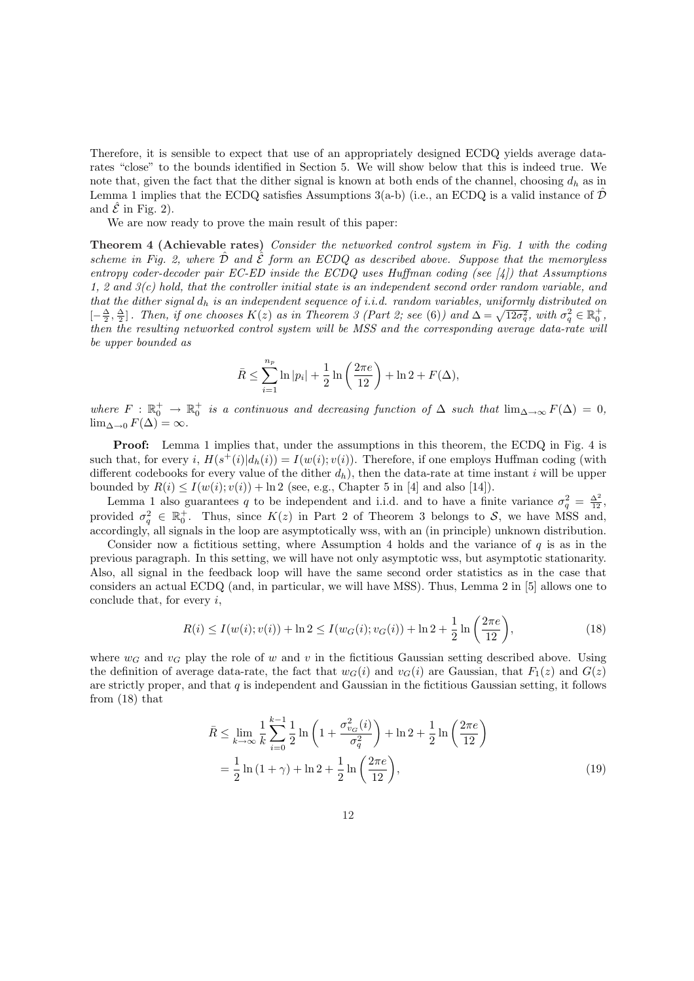Therefore, it is sensible to expect that use of an appropriately designed ECDQ yields average datarates "close" to the bounds identified in Section 5. We will show below that this is indeed true. We note that, given the fact that the dither signal is known at both ends of the channel, choosing  $d_h$  as in Lemma 1 implies that the ECDQ satisfies Assumptions 3(a-b) (i.e., an ECDQ is a valid instance of  $\hat{\mathcal{D}}$ and  $\hat{\mathcal{E}}$  in Fig. 2).

We are now ready to prove the main result of this paper:

Theorem 4 (Achievable rates) Consider the networked control system in Fig. 1 with the coding scheme in Fig. 2, where  $\hat{\mathcal{D}}$  and  $\hat{\mathcal{E}}$  form an ECDQ as described above. Suppose that the memoryless entropy coder-decoder pair EC-ED inside the ECDQ uses Huffman coding (see  $\{4\}$ ) that Assumptions 1, 2 and  $3(c)$  hold, that the controller initial state is an independent second order random variable, and that the dither signal  $d_h$  is an independent sequence of i.i.d. random variables, uniformly distributed on that the attiter signal  $a_h$  is an independent sequence of i.i.d. random variables, antiformly distributed on<br> $[-\frac{\Delta}{2}, \frac{\Delta}{2}]$ . Then, if one chooses  $K(z)$  as in Theorem 3 (Part 2; see (6)) and  $\Delta = \sqrt{12\sigma_q^2}$ , with  $\sigma_q$ then the resulting networked control system will be MSS and the corresponding average data-rate will be upper bounded as

$$
\bar{R} \le \sum_{i=1}^{n_p} \ln |p_i| + \frac{1}{2} \ln \left( \frac{2\pi e}{12} \right) + \ln 2 + F(\Delta),
$$

where  $F : \mathbb{R}_0^+ \to \mathbb{R}_0^+$  is a continuous and decreasing function of  $\Delta$  such that  $\lim_{\Delta \to \infty} F(\Delta) = 0$ ,  $\lim_{\Delta\to 0} F(\Delta) = \infty$ .

Proof: Lemma 1 implies that, under the assumptions in this theorem, the ECDQ in Fig. 4 is such that, for every i,  $H(s^+(i)|d_h(i)) = I(w(i); v(i))$ . Therefore, if one employs Huffman coding (with different codebooks for every value of the dither  $d_h$ , then the data-rate at time instant i will be upper bounded by  $R(i) \le I(w(i); v(i)) + \ln 2$  (see, e.g., Chapter 5 in [4] and also [14]).

Lemma 1 also guarantees q to be independent and i.i.d. and to have a finite variance  $\sigma_q^2 = \frac{\Delta^2}{12}$ , provided  $\sigma_q^2 \in \mathbb{R}_0^+$ . Thus, since  $K(z)$  in Part 2 of Theorem 3 belongs to S, we have MSS and, accordingly, all signals in the loop are asymptotically wss, with an (in principle) unknown distribution.

Consider now a fictitious setting, where Assumption 4 holds and the variance of  $q$  is as in the previous paragraph. In this setting, we will have not only asymptotic wss, but asymptotic stationarity. Also, all signal in the feedback loop will have the same second order statistics as in the case that considers an actual ECDQ (and, in particular, we will have MSS). Thus, Lemma 2 in [5] allows one to conclude that, for every  $i$ ,

$$
R(i) \le I(w(i); v(i)) + \ln 2 \le I(w_G(i); v_G(i)) + \ln 2 + \frac{1}{2} \ln \left(\frac{2\pi e}{12}\right),\tag{18}
$$

where  $w_G$  and  $v_G$  play the role of w and v in the fictitious Gaussian setting described above. Using the definition of average data-rate, the fact that  $w_G(i)$  and  $v_G(i)$  are Gaussian, that  $F_1(z)$  and  $G(z)$ are strictly proper, and that  $q$  is independent and Gaussian in the fictitious Gaussian setting, it follows from (18) that

$$
\bar{R} \le \lim_{k \to \infty} \frac{1}{k} \sum_{i=0}^{k-1} \frac{1}{2} \ln \left( 1 + \frac{\sigma_{v_G}^2(i)}{\sigma_q^2} \right) + \ln 2 + \frac{1}{2} \ln \left( \frac{2\pi e}{12} \right)
$$
  
=  $\frac{1}{2} \ln \left( 1 + \gamma \right) + \ln 2 + \frac{1}{2} \ln \left( \frac{2\pi e}{12} \right),$  (19)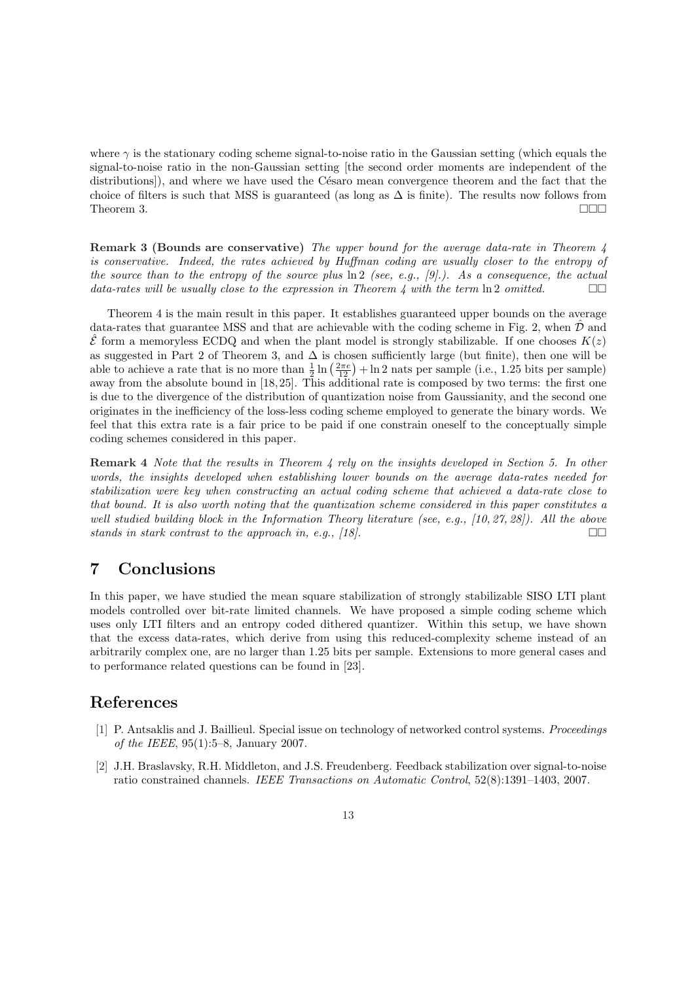where  $\gamma$  is the stationary coding scheme signal-to-noise ratio in the Gaussian setting (which equals the signal-to-noise ratio in the non-Gaussian setting [the second order moments are independent of the distributions), and where we have used the Césaro mean convergence theorem and the fact that the choice of filters is such that MSS is guaranteed (as long as  $\Delta$  is finite). The results now follows from Theorem 3.  $\Box$ 

Remark 3 (Bounds are conservative) The upper bound for the average data-rate in Theorem 4 is conservative. Indeed, the rates achieved by Huffman coding are usually closer to the entropy of the source than to the entropy of the source plus  $\ln 2$  (see, e.g., [9].). As a consequence, the actual data-rates will be usually close to the expression in Theorem 4 with the term  $\ln 2$  omitted.  $\square$ 

Theorem 4 is the main result in this paper. It establishes guaranteed upper bounds on the average data-rates that guarantee MSS and that are achievable with the coding scheme in Fig. 2, when  $\hat{\mathcal{D}}$  and  $\mathcal{\hat{E}}$  form a memoryless ECDQ and when the plant model is strongly stabilizable. If one chooses  $K(z)$ as suggested in Part 2 of Theorem 3, and  $\Delta$  is chosen sufficiently large (but finite), then one will be as suggested in Part 2 of Theorem 3, and  $\Delta$  is chosen sumclently large (but finite), then one will be able to achieve a rate that is no more than  $\frac{1}{2} \ln \left( \frac{2\pi e}{12} \right) + \ln 2$  nats per sample (i.e., 1.25 bits per sa away from the absolute bound in [18, 25]. This additional rate is composed by two terms: the first one is due to the divergence of the distribution of quantization noise from Gaussianity, and the second one originates in the inefficiency of the loss-less coding scheme employed to generate the binary words. We feel that this extra rate is a fair price to be paid if one constrain oneself to the conceptually simple coding schemes considered in this paper.

**Remark 4** Note that the results in Theorem  $\frac{1}{4}$  rely on the insights developed in Section 5. In other words, the insights developed when establishing lower bounds on the average data-rates needed for stabilization were key when constructing an actual coding scheme that achieved a data-rate close to that bound. It is also worth noting that the quantization scheme considered in this paper constitutes a well studied building block in the Information Theory literature (see, e.g., [10, 27, 28]). All the above stands in stark contrast to the approach in, e.g., [18].  $\square$ 

### 7 Conclusions

In this paper, we have studied the mean square stabilization of strongly stabilizable SISO LTI plant models controlled over bit-rate limited channels. We have proposed a simple coding scheme which uses only LTI filters and an entropy coded dithered quantizer. Within this setup, we have shown that the excess data-rates, which derive from using this reduced-complexity scheme instead of an arbitrarily complex one, are no larger than 1.25 bits per sample. Extensions to more general cases and to performance related questions can be found in [23].

### References

- [1] P. Antsaklis and J. Baillieul. Special issue on technology of networked control systems. Proceedings of the IEEE, 95(1):5–8, January 2007.
- [2] J.H. Braslavsky, R.H. Middleton, and J.S. Freudenberg. Feedback stabilization over signal-to-noise ratio constrained channels. IEEE Transactions on Automatic Control, 52(8):1391–1403, 2007.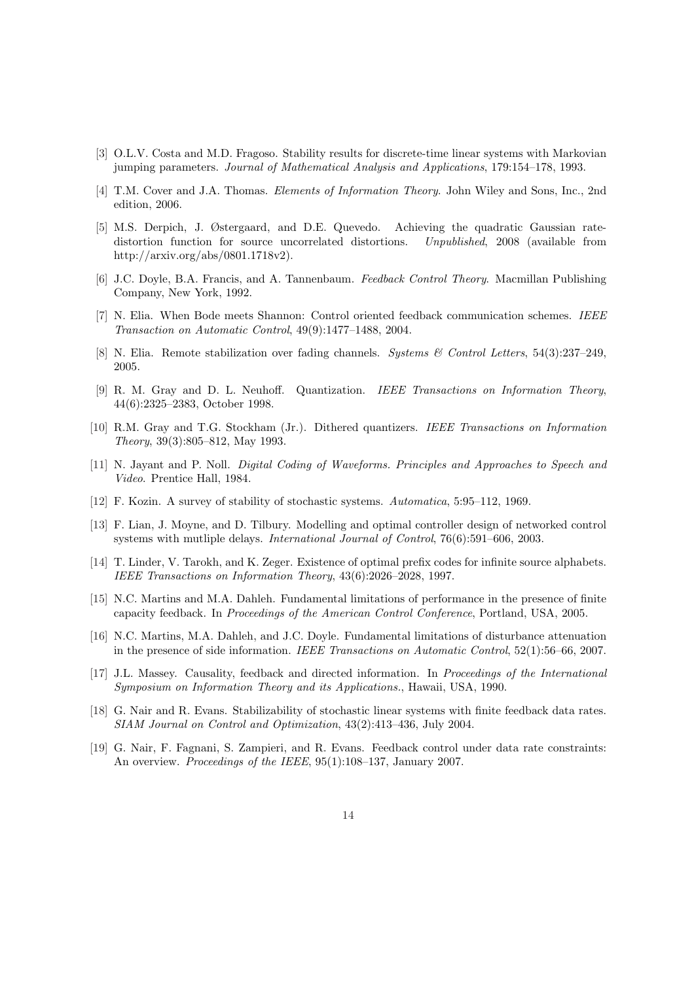- [3] O.L.V. Costa and M.D. Fragoso. Stability results for discrete-time linear systems with Markovian jumping parameters. Journal of Mathematical Analysis and Applications, 179:154–178, 1993.
- [4] T.M. Cover and J.A. Thomas. Elements of Information Theory. John Wiley and Sons, Inc., 2nd edition, 2006.
- [5] M.S. Derpich, J. Østergaard, and D.E. Quevedo. Achieving the quadratic Gaussian ratedistortion function for source uncorrelated distortions. Unpublished, 2008 (available from http://arxiv.org/abs/0801.1718v2).
- [6] J.C. Doyle, B.A. Francis, and A. Tannenbaum. Feedback Control Theory. Macmillan Publishing Company, New York, 1992.
- [7] N. Elia. When Bode meets Shannon: Control oriented feedback communication schemes. IEEE Transaction on Automatic Control, 49(9):1477–1488, 2004.
- [8] N. Elia. Remote stabilization over fading channels. Systems & Control Letters, 54(3):237–249, 2005.
- [9] R. M. Gray and D. L. Neuhoff. Quantization. IEEE Transactions on Information Theory, 44(6):2325–2383, October 1998.
- [10] R.M. Gray and T.G. Stockham (Jr.). Dithered quantizers. IEEE Transactions on Information Theory, 39(3):805–812, May 1993.
- [11] N. Jayant and P. Noll. Digital Coding of Waveforms. Principles and Approaches to Speech and Video. Prentice Hall, 1984.
- [12] F. Kozin. A survey of stability of stochastic systems. Automatica, 5:95–112, 1969.
- [13] F. Lian, J. Moyne, and D. Tilbury. Modelling and optimal controller design of networked control systems with mutliple delays. International Journal of Control, 76(6):591–606, 2003.
- [14] T. Linder, V. Tarokh, and K. Zeger. Existence of optimal prefix codes for infinite source alphabets. IEEE Transactions on Information Theory, 43(6):2026–2028, 1997.
- [15] N.C. Martins and M.A. Dahleh. Fundamental limitations of performance in the presence of finite capacity feedback. In Proceedings of the American Control Conference, Portland, USA, 2005.
- [16] N.C. Martins, M.A. Dahleh, and J.C. Doyle. Fundamental limitations of disturbance attenuation in the presence of side information. IEEE Transactions on Automatic Control, 52(1):56–66, 2007.
- [17] J.L. Massey. Causality, feedback and directed information. In Proceedings of the International Symposium on Information Theory and its Applications., Hawaii, USA, 1990.
- [18] G. Nair and R. Evans. Stabilizability of stochastic linear systems with finite feedback data rates. SIAM Journal on Control and Optimization, 43(2):413–436, July 2004.
- [19] G. Nair, F. Fagnani, S. Zampieri, and R. Evans. Feedback control under data rate constraints: An overview. *Proceedings of the IEEE*, 95(1):108–137, January 2007.